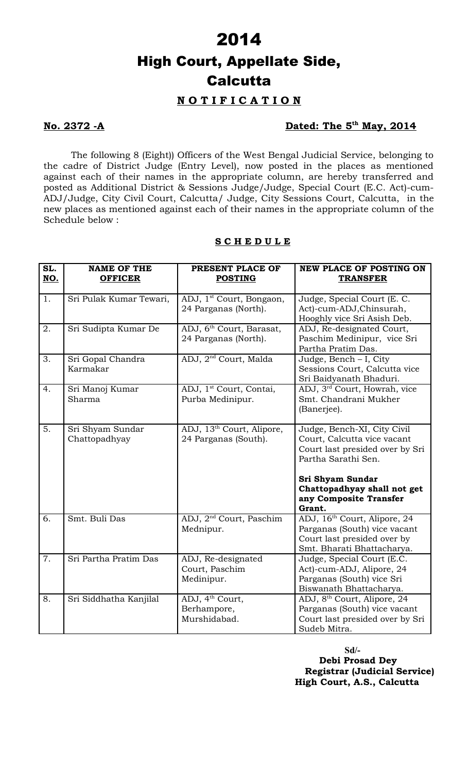### **N O T I F I C A T I O N**

### **No. 2372 -A Dated: The 5th May, 2014**

The following 8 (Eight)) Officers of the West Bengal Judicial Service, belonging to the cadre of District Judge (Entry Level), now posted in the places as mentioned against each of their names in the appropriate column, are hereby transferred and posted as Additional District & Sessions Judge/Judge, Special Court (E.C. Act)-cum-ADJ/Judge, City Civil Court, Calcutta/ Judge, City Sessions Court, Calcutta, in the new places as mentioned against each of their names in the appropriate column of the Schedule below :

### **S C H E D U L E**

| SL.<br>NO.       | <b>NAME OF THE</b><br><b>OFFICER</b> | PRESENT PLACE OF<br><b>POSTING</b>                            | <b>NEW PLACE OF POSTING ON</b><br><b>TRANSFER</b>                                                                                                                                                 |
|------------------|--------------------------------------|---------------------------------------------------------------|---------------------------------------------------------------------------------------------------------------------------------------------------------------------------------------------------|
| 1.               | Sri Pulak Kumar Tewari,              | ADJ, 1 <sup>st</sup> Court, Bongaon,<br>24 Parganas (North).  | Judge, Special Court (E. C.<br>Act)-cum-ADJ, Chinsurah,<br>Hooghly vice Sri Asish Deb.                                                                                                            |
| 2.               | Sri Sudipta Kumar De                 | ADJ, 6 <sup>th</sup> Court, Barasat,<br>24 Parganas (North).  | ADJ, Re-designated Court,<br>Paschim Medinipur, vice Sri<br>Partha Pratim Das.                                                                                                                    |
| 3.               | Sri Gopal Chandra<br>Karmakar        | ADJ, 2 <sup>nd</sup> Court, Malda                             | Judge, Bench $-$ I, City<br>Sessions Court, Calcutta vice<br>Sri Baidyanath Bhaduri.                                                                                                              |
| 4.               | Sri Manoj Kumar<br>Sharma            | ADJ, 1 <sup>st</sup> Court, Contai,<br>Purba Medinipur.       | ADJ, 3 <sup>rd</sup> Court, Howrah, vice<br>Smt. Chandrani Mukher<br>(Banerjee).                                                                                                                  |
| $\overline{5}$ . | Sri Shyam Sundar<br>Chattopadhyay    | ADJ, 13 <sup>th</sup> Court, Alipore,<br>24 Parganas (South). | Judge, Bench-XI, City Civil<br>Court, Calcutta vice vacant<br>Court last presided over by Sri<br>Partha Sarathi Sen.<br>Sri Shyam Sundar<br>Chattopadhyay shall not get<br>any Composite Transfer |
| 6.               | Smt. Buli Das                        | ADJ, 2 <sup>nd</sup> Court, Paschim<br>Mednipur.              | Grant.<br>ADJ, 16 <sup>th</sup> Court, Alipore, 24<br>Parganas (South) vice vacant<br>Court last presided over by<br>Smt. Bharati Bhattacharya.                                                   |
| 7.               | Sri Partha Pratim Das                | ADJ, Re-designated<br>Court, Paschim<br>Medinipur.            | Judge, Special Court (E.C.<br>Act)-cum-ADJ, Alipore, 24<br>Parganas (South) vice Sri<br>Biswanath Bhattacharya.                                                                                   |
| 8.               | Sri Siddhatha Kanjilal               | ADJ, 4 <sup>th</sup> Court,<br>Berhampore,<br>Murshidabad.    | ADJ, 8 <sup>th</sup> Court, Alipore, 24<br>Parganas (South) vice vacant<br>Court last presided over by Sri<br>Sudeb Mitra.                                                                        |

#### **Sd/-**

**Debi Prosad Dey Registrar (Judicial Service) High Court, A.S., Calcutta**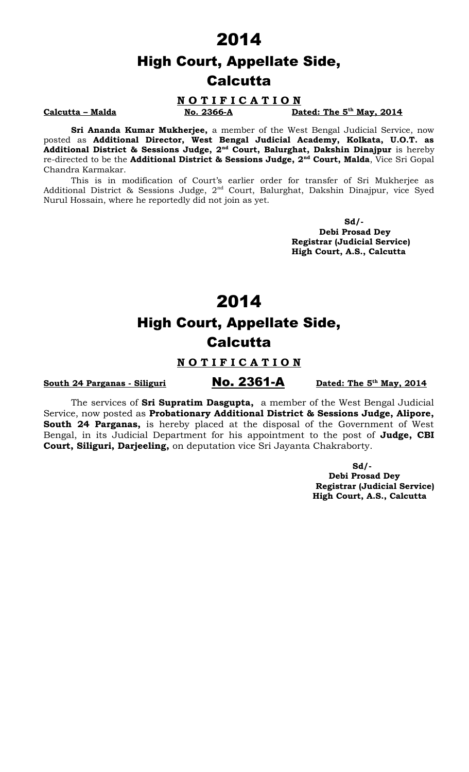#### **N O T I F I C A T I O N**

**Calcutta – Malda No. 2366-A** 

Dated: The 5<sup>th</sup> May, 2014

**Sri Ananda Kumar Mukherjee,** a member of the West Bengal Judicial Service, now posted as **Additional Director, West Bengal Judicial Academy, Kolkata, U.O.T. as Additional District & Sessions Judge, 2nd Court, Balurghat, Dakshin Dinajpur** is hereby re-directed to be the **Additional District & Sessions Judge, 2nd Court, Malda**, Vice Sri Gopal Chandra Karmakar.

This is in modification of Court's earlier order for transfer of Sri Mukherjee as Additional District & Sessions Judge, 2<sup>nd</sup> Court, Balurghat, Dakshin Dinajpur, vice Syed Nurul Hossain, where he reportedly did not join as yet.

 **Sd/- Debi Prosad Dey Registrar (Judicial Service) High Court, A.S., Calcutta**

## 2014

# High Court, Appellate Side, Calcutta

#### **N O T I F I C A T I O N**

**South 24 Parganas - Siliguri No. 2361-A** 

Dated: The 5<sup>th</sup> May, 2014

The services of **Sri Supratim Dasgupta,** a member of the West Bengal Judicial Service, now posted as **Probationary Additional District & Sessions Judge, Alipore, South 24 Parganas,** is hereby placed at the disposal of the Government of West Bengal, in its Judicial Department for his appointment to the post of **Judge, CBI Court, Siliguri, Darjeeling,** on deputation vice Sri Jayanta Chakraborty.

> **Sd/- Debi Prosad Dey Registrar (Judicial Service) High Court, A.S., Calcutta**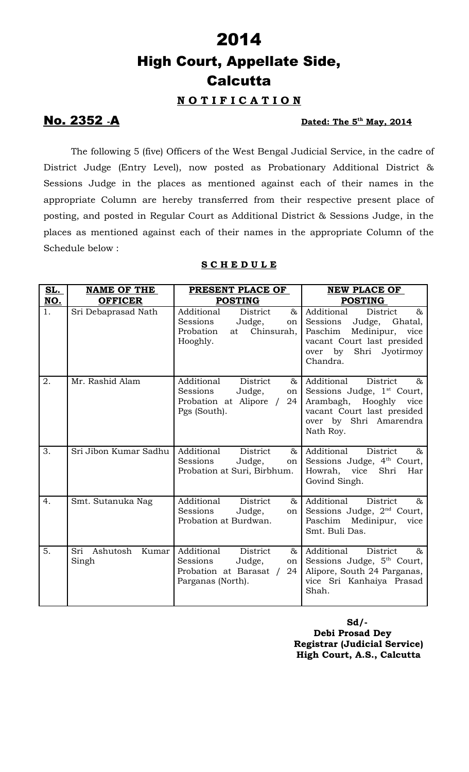### **N O T I F I C A T I O N**

## **No. 2352 <sub>-</sub>A**

### Dated: The 5<sup>th</sup> May, 2014

The following 5 (five) Officers of the West Bengal Judicial Service, in the cadre of District Judge (Entry Level), now posted as Probationary Additional District & Sessions Judge in the places as mentioned against each of their names in the appropriate Column are hereby transferred from their respective present place of posting, and posted in Regular Court as Additional District & Sessions Judge, in the places as mentioned against each of their names in the appropriate Column of the Schedule below :

| <u>SL.</u> | <b>NAME OF THE</b>                | PRESENT PLACE OF                                                                                             | <b>NEW PLACE OF</b>                                                                                                                                                     |
|------------|-----------------------------------|--------------------------------------------------------------------------------------------------------------|-------------------------------------------------------------------------------------------------------------------------------------------------------------------------|
| <u>NO.</u> | <b>OFFICER</b>                    | <b>POSTING</b>                                                                                               | <b>POSTING</b>                                                                                                                                                          |
| 1.         | Sri Debaprasad Nath               | District<br>$\&$<br>Additional<br>Sessions<br>Judge,<br>on<br>Probation<br>Chinsurah,<br>at<br>Hooghly.      | Additional<br>District<br>$\&$<br>Sessions<br>Ghatal,<br>Judge,<br>Paschim<br>Medinipur,<br>vice<br>vacant Court last presided<br>over by<br>Shri Jyotirmoy<br>Chandra. |
| 2.         | Mr. Rashid Alam                   | District<br>Additional<br>&<br>Sessions<br>Judge,<br>on  <br>Probation at Alipore /<br>24<br>Pgs (South).    | Additional<br>District<br>&<br>Sessions Judge, 1 <sup>st</sup> Court,<br>Arambagh, Hooghly<br>vice<br>vacant Court last presided<br>over by Shri Amarendra<br>Nath Roy. |
| 3.         | Sri Jibon Kumar Sadhu             | Additional<br>District<br>$\&$<br>Sessions<br>Judge,<br>on<br>Probation at Suri, Birbhum.                    | Additional<br>District<br>$\&$<br>Sessions Judge, 4 <sup>th</sup> Court,<br>Howrah,<br>vice<br>Shri<br>Har<br>Govind Singh.                                             |
| 4.         | Smt. Sutanuka Nag                 | Additional<br>District<br>&<br>Sessions<br>Judge,<br>on<br>Probation at Burdwan.                             | Additional<br>District<br>$\&$<br>Sessions Judge, 2 <sup>nd</sup> Court,<br>Paschim Medinipur,<br>vice<br>Smt. Buli Das.                                                |
| 5.         | Ashutosh<br>Sri<br>Kumar<br>Singh | Additional<br>District<br>&<br>Sessions<br>Judge,<br>on<br>Probation at Barasat /<br>24<br>Parganas (North). | Additional<br>District<br>$\&$<br>Sessions Judge, 5 <sup>th</sup> Court,<br>Alipore, South 24 Parganas,<br>vice Sri Kanhaiya Prasad<br>Shah.                            |

### **S C H E D U L E**

**Sd/- Debi Prosad Dey Registrar (Judicial Service) High Court, A.S., Calcutta**